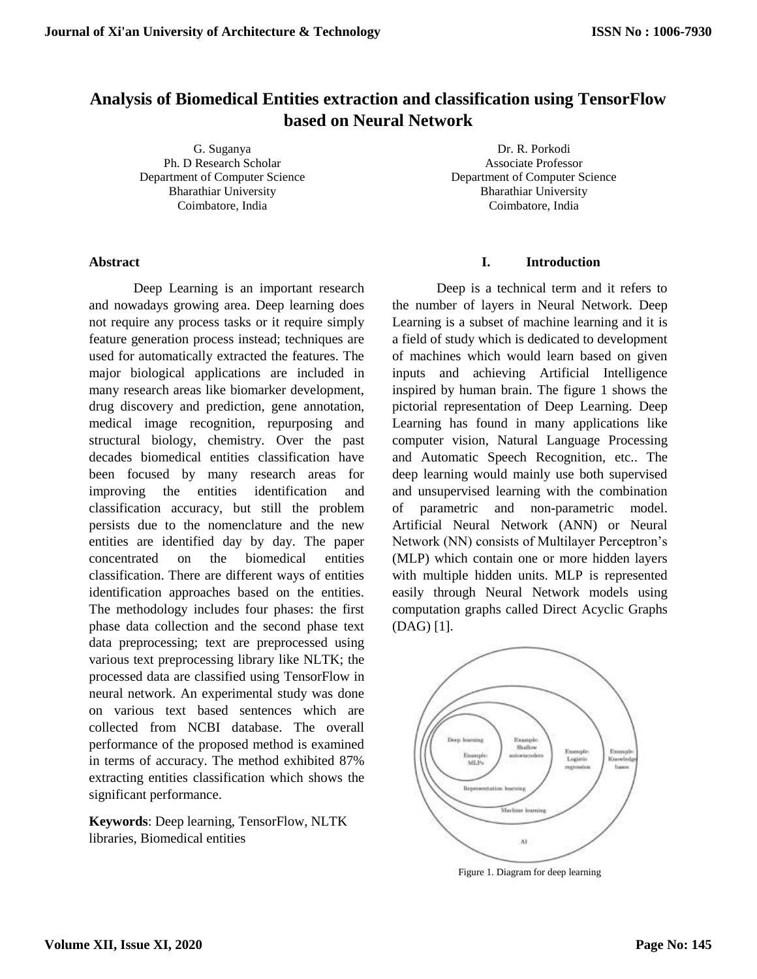# **Analysis of Biomedical Entities extraction and classification using TensorFlow based on Neural Network**

G. Suganya Ph. D Research Scholar Department of Computer Science Bharathiar University Coimbatore, India

Dr. R. Porkodi Associate Professor Department of Computer Science Bharathiar University Coimbatore, India

# **Abstract**

Deep Learning is an important research and nowadays growing area. Deep learning does not require any process tasks or it require simply feature generation process instead; techniques are used for automatically extracted the features. The major biological applications are included in many research areas like biomarker development, drug discovery and prediction, gene annotation, medical image recognition, repurposing and structural biology, chemistry. Over the past decades biomedical entities classification have been focused by many research areas for improving the entities identification and classification accuracy, but still the problem persists due to the nomenclature and the new entities are identified day by day. The paper concentrated on the biomedical entities classification. There are different ways of entities identification approaches based on the entities. The methodology includes four phases: the first phase data collection and the second phase text data preprocessing; text are preprocessed using various text preprocessing library like NLTK; the processed data are classified using TensorFlow in neural network. An experimental study was done on various text based sentences which are collected from NCBI database. The overall performance of the proposed method is examined in terms of accuracy. The method exhibited 87% extracting entities classification which shows the significant performance.

**Keywords**: Deep learning, TensorFlow, NLTK libraries, Biomedical entities

# **I. Introduction**

Deep is a technical term and it refers to the number of layers in Neural Network. Deep Learning is a subset of machine learning and it is a field of study which is dedicated to development of machines which would learn based on given inputs and achieving Artificial Intelligence inspired by human brain. The figure 1 shows the pictorial representation of Deep Learning. Deep Learning has found in many applications like computer vision, Natural Language Processing and Automatic Speech Recognition, etc.. The deep learning would mainly use both supervised and unsupervised learning with the combination of parametric and non-parametric model. Artificial Neural Network (ANN) or Neural Network (NN) consists of Multilayer Perceptron's (MLP) which contain one or more hidden layers with multiple hidden units. MLP is represented easily through Neural Network models using computation graphs called Direct Acyclic Graphs (DAG) [1].



Figure 1. Diagram for deep learning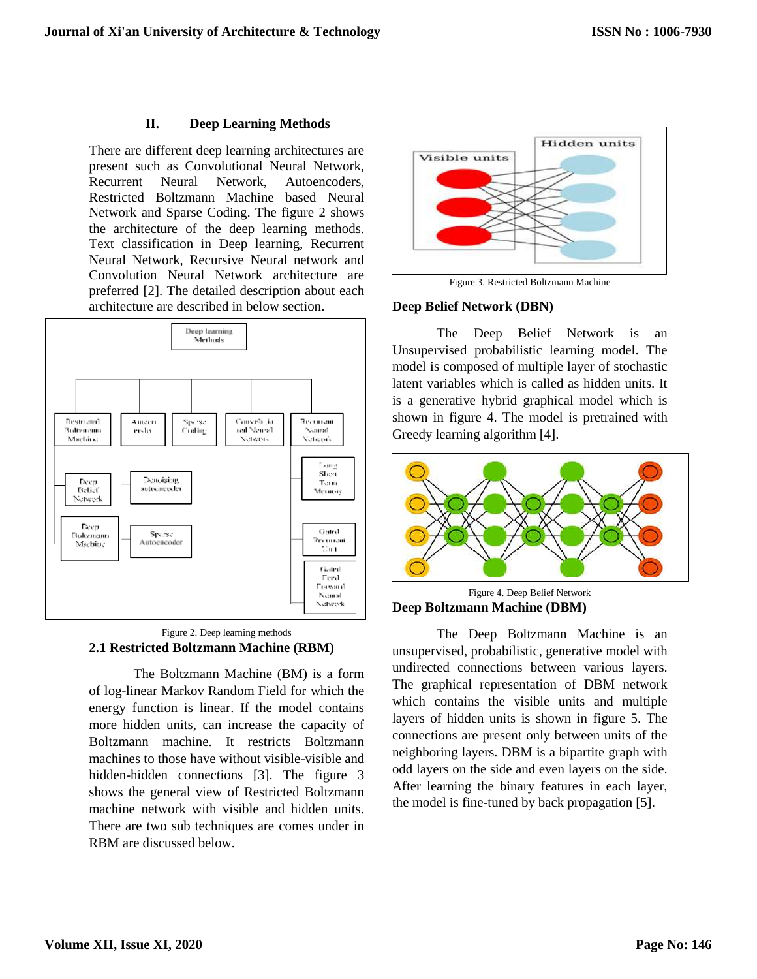# **II. Deep Learning Methods**

There are different deep learning architectures are present such as Convolutional Neural Network, Recurrent Neural Network, Autoencoders, Restricted Boltzmann Machine based Neural Network and Sparse Coding. The figure 2 shows the architecture of the deep learning methods. Text classification in Deep learning, Recurrent Neural Network, Recursive Neural network and Convolution Neural Network architecture are preferred [2]. The detailed description about each architecture are described in below section.





The Boltzmann Machine (BM) is a form of log-linear Markov Random Field for which the energy function is linear. If the model contains more hidden units, can increase the capacity of Boltzmann machine. It restricts Boltzmann machines to those have without visible-visible and hidden-hidden connections [3]. The figure 3 shows the general view of Restricted Boltzmann machine network with visible and hidden units. There are two sub techniques are comes under in RBM are discussed below.



Figure 3. Restricted Boltzmann Machine

### **Deep Belief Network (DBN)**

The Deep Belief Network is an Unsupervised probabilistic learning model. The model is composed of multiple layer of stochastic latent variables which is called as hidden units. It is a generative hybrid graphical model which is shown in figure 4. The model is pretrained with Greedy learning algorithm [4].



Figure 4. Deep Belief Network **Deep Boltzmann Machine (DBM)**

The Deep Boltzmann Machine is an unsupervised, probabilistic, generative model with undirected connections between various layers. The graphical representation of DBM network which contains the visible units and multiple layers of hidden units is shown in figure 5. The connections are present only between units of the neighboring layers. DBM is a bipartite graph with odd layers on the side and even layers on the side. After learning the binary features in each layer, the model is fine-tuned by back propagation [5].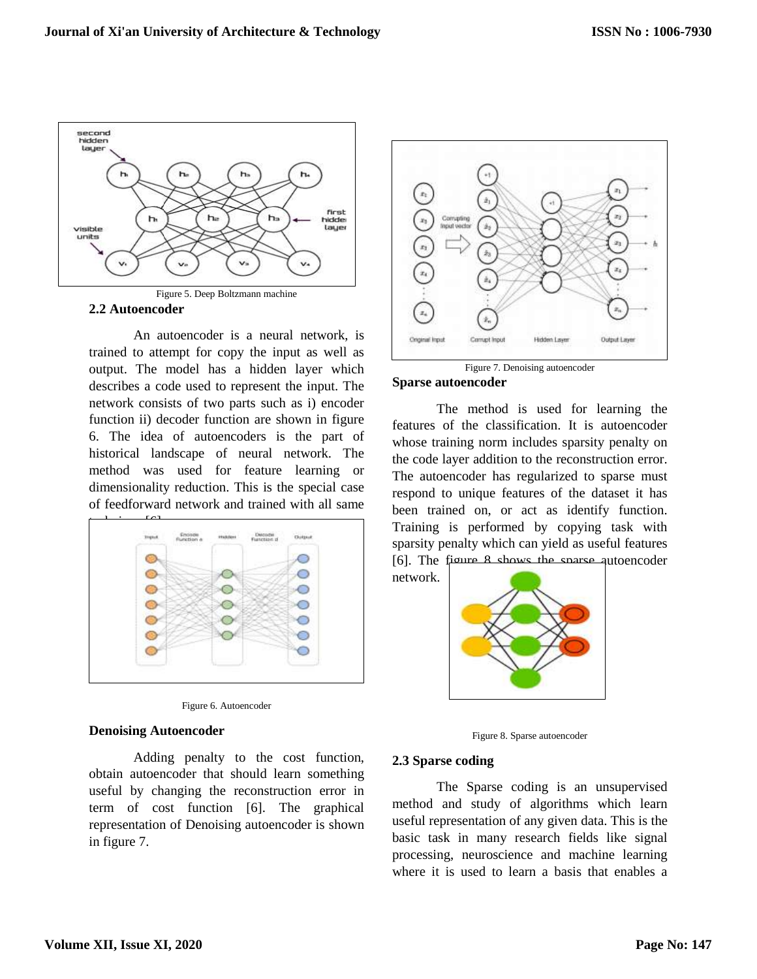



An autoencoder is a neural network, is trained to attempt for copy the input as well as output. The model has a hidden layer which describes a code used to represent the input. The network consists of two parts such as i) encoder function ii) decoder function are shown in figure 6. The idea of autoencoders is the part of historical landscape of neural network. The method was used for feature learning or dimensionality reduction. This is the special case of feedforward network and trained with all same





### **Denoising Autoencoder**

Adding penalty to the cost function, obtain autoencoder that should learn something useful by changing the reconstruction error in term of cost function [6]. The graphical representation of Denoising autoencoder is shown in figure 7.



Figure 7. Denoising autoencoder **Sparse autoencoder**

The method is used for learning the features of the classification. It is autoencoder whose training norm includes sparsity penalty on the code layer addition to the reconstruction error. The autoencoder has regularized to sparse must respond to unique features of the dataset it has been trained on, or act as identify function. Training is performed by copying task with sparsity penalty which can yield as useful features [6]. The figure 8 shows the sparse autoencoder



Figure 8. Sparse autoencoder

### **2.3 Sparse coding**

network.

The Sparse coding is an unsupervised method and study of algorithms which learn useful representation of any given data. This is the basic task in many research fields like signal processing, neuroscience and machine learning where it is used to learn a basis that enables a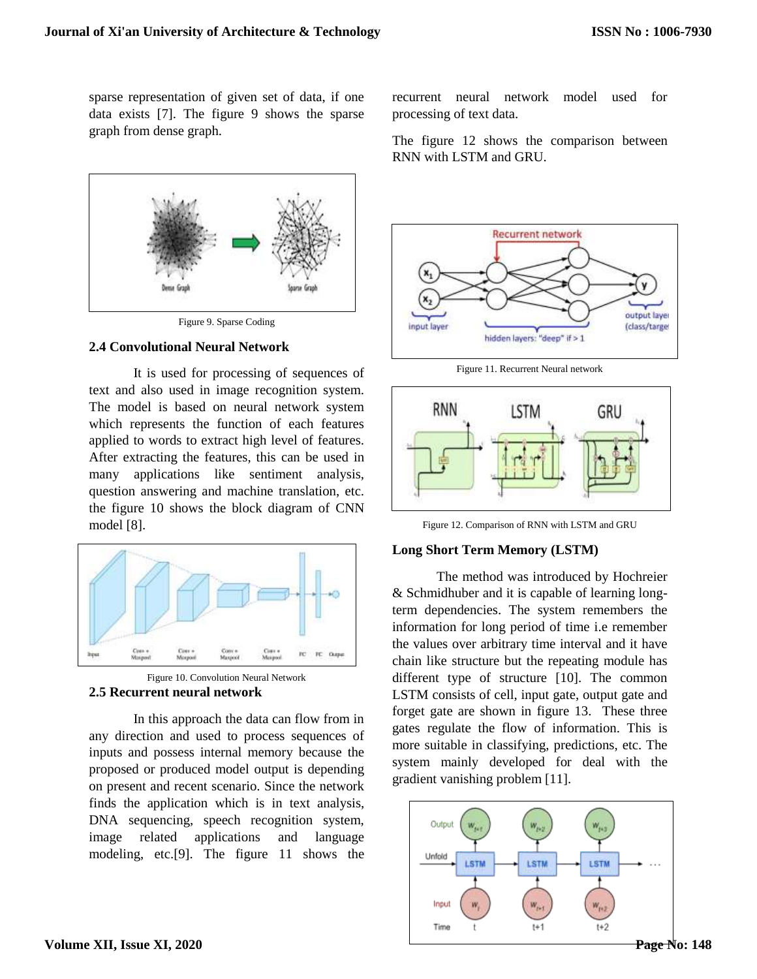sparse representation of given set of data, if one data exists [7]. The figure 9 shows the sparse graph from dense graph.



Figure 9. Sparse Coding

# **2.4 Convolutional Neural Network**

It is used for processing of sequences of text and also used in image recognition system. The model is based on neural network system which represents the function of each features applied to words to extract high level of features. After extracting the features, this can be used in many applications like sentiment analysis, question answering and machine translation, etc. the figure 10 shows the block diagram of CNN model [8].



Figure 10. Convolution Neural Network **2.5 Recurrent neural network**

In this approach the data can flow from in any direction and used to process sequences of inputs and possess internal memory because the proposed or produced model output is depending on present and recent scenario. Since the network finds the application which is in text analysis, DNA sequencing, speech recognition system, image related applications and language modeling, etc.[9]. The figure 11 shows the

recurrent neural network model used for processing of text data.

The figure 12 shows the comparison between RNN with LSTM and GRU.



Figure 11. Recurrent Neural network



Figure 12. Comparison of RNN with LSTM and GRU

# **Long Short Term Memory (LSTM)**

The method was introduced by Hochreier & Schmidhuber and it is capable of learning longterm dependencies. The system remembers the information for long period of time i.e remember the values over arbitrary time interval and it have chain like structure but the repeating module has different type of structure [10]. The common LSTM consists of cell, input gate, output gate and forget gate are shown in figure 13. These three gates regulate the flow of information. This is more suitable in classifying, predictions, etc. The system mainly developed for deal with the gradient vanishing problem [11].

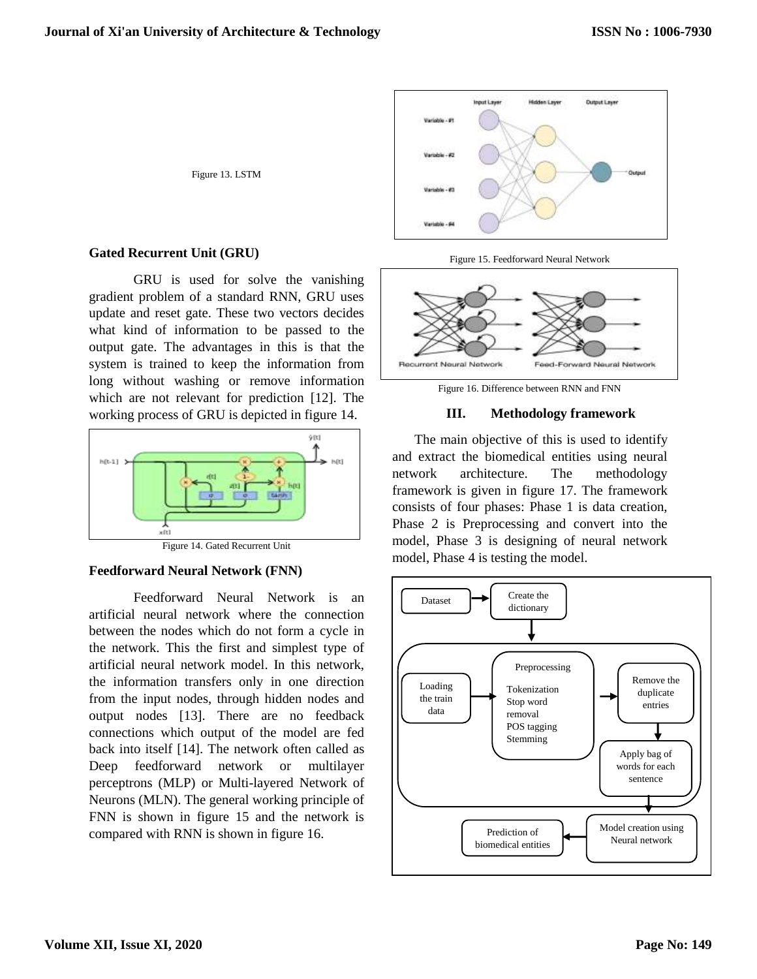Figure 13. LSTM

# **Gated Recurrent Unit (GRU)**

GRU is used for solve the vanishing gradient problem of a standard RNN, GRU uses update and reset gate. These two vectors decides what kind of information to be passed to the output gate. The advantages in this is that the system is trained to keep the information from long without washing or remove information which are not relevant for prediction [12]. The working process of GRU is depicted in figure 14.



Figure 14. Gated Recurrent Unit

### **Feedforward Neural Network (FNN)**

Feedforward Neural Network is an artificial neural network where the connection between the nodes which do not form a cycle in the network. This the first and simplest type of artificial neural network model. In this network, the information transfers only in one direction from the input nodes, through hidden nodes and output nodes [13]. There are no feedback connections which output of the model are fed back into itself [14]. The network often called as Deep feedforward network or multilayer perceptrons (MLP) or Multi-layered Network of Neurons (MLN). The general working principle of FNN is shown in figure 15 and the network is compared with RNN is shown in figure 16.



Figure 15. Feedforward Neural Network



Figure 16. Difference between RNN and FNN

#### **III. Methodology framework**

The main objective of this is used to identify and extract the biomedical entities using neural network architecture. The methodology framework is given in figure 17. The framework consists of four phases: Phase 1 is data creation, Phase 2 is Preprocessing and convert into the model, Phase 3 is designing of neural network model, Phase 4 is testing the model.

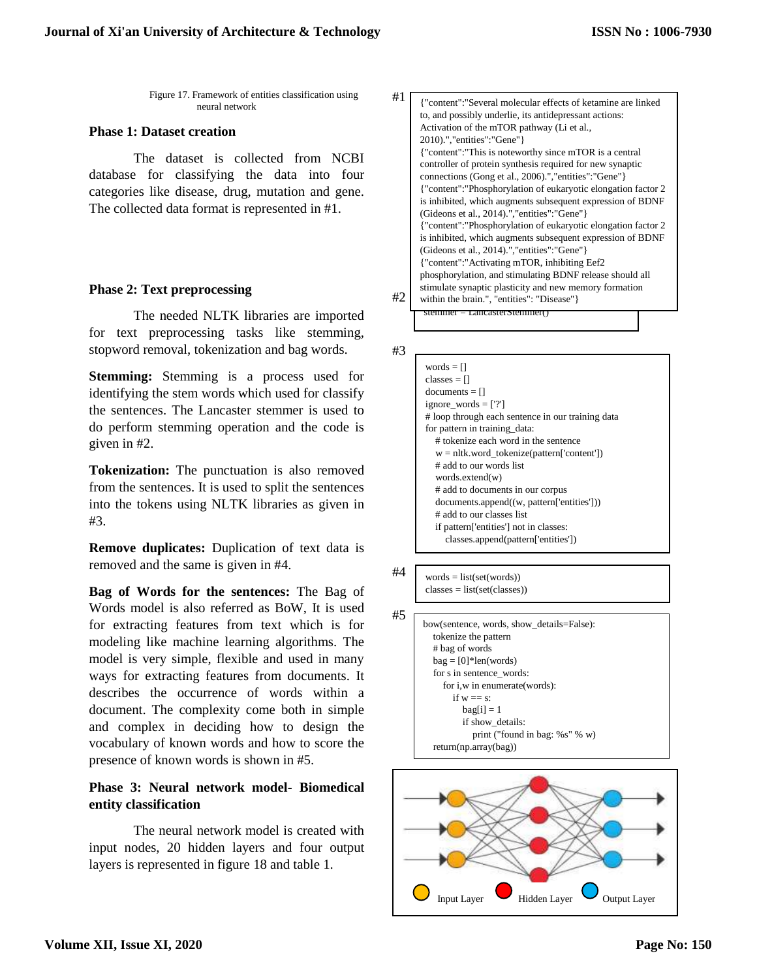Figure 17. Framework of entities classification using neural network

# **Phase 1: Dataset creation**

The dataset is collected from NCBI database for classifying the data into four categories like disease, drug, mutation and gene. The collected data format is represented in #1.

# **Phase 2: Text preprocessing**

The needed NLTK libraries are imported for text preprocessing tasks like stemming, stopword removal, tokenization and bag words.

**Stemming:** Stemming is a process used for identifying the stem words which used for classify the sentences. The Lancaster stemmer is used to do perform stemming operation and the code is given in #2.

**Tokenization:** The punctuation is also removed from the sentences. It is used to split the sentences into the tokens using NLTK libraries as given in #3.

**Remove duplicates:** Duplication of text data is removed and the same is given in #4.

**Bag of Words for the sentences:** The Bag of Words model is also referred as BoW, It is used for extracting features from text which is for modeling like machine learning algorithms. The model is very simple, flexible and used in many ways for extracting features from documents. It describes the occurrence of words within a document. The complexity come both in simple and complex in deciding how to design the vocabulary of known words and how to score the presence of known words is shown in #5.

# **Phase 3: Neural network model- Biomedical entity classification**

The neural network model is created with input nodes, 20 hidden layers and four output layers is represented in figure 18 and table 1.

| #1 | {"content":"Several molecular effects of ketamine are linked  |
|----|---------------------------------------------------------------|
|    | to, and possibly underlie, its antidepressant actions:        |
|    | Activation of the mTOR pathway (Li et al.,                    |
|    | 2010).","entities":"Gene"}                                    |
|    | {"content":"This is noteworthy since mTOR is a central        |
|    | controller of protein synthesis required for new synaptic     |
|    | connections (Gong et al., 2006).", "entities": "Gene" }       |
|    | {"content":"Phosphorylation of eukaryotic elongation factor 2 |
|    | is inhibited, which augments subsequent expression of BDNF    |
|    | (Gideons et al., 2014).", "entities": "Gene" }                |
|    | {"content":"Phosphorylation of eukaryotic elongation factor 2 |
|    | is inhibited, which augments subsequent expression of BDNF    |
|    | (Gideons et al., 2014).","entities":"Gene"}                   |
|    | {"content":"Activating mTOR, inhibiting Eef2                  |
|    | phosphorylation, and stimulating BDNF release should all      |
|    | stimulate synaptic plasticity and new memory formation        |
| #2 | within the brain.", "entities": "Disease" }                   |
|    | stemmer = LancasterStemmer()                                  |

#3

| words $= \Box$         |                                                   |
|------------------------|---------------------------------------------------|
| classes $=$ $\Box$     |                                                   |
| $documents = []$       |                                                   |
| ignore words $=$ ['?'] |                                                   |
|                        | # loop through each sentence in our training data |
|                        | for pattern in training data:                     |
|                        | # tokenize each word in the sentence              |
|                        | $w = n$ ltk.word_tokenize(pattern['content'])     |
|                        | # add to our words list                           |
| words.extend(w)        |                                                   |
|                        | # add to documents in our corpus                  |
|                        | documents.append((w, pattern['entities']))        |
|                        | # add to our classes list                         |
|                        | if pattern ['entities'] not in classes:           |
|                        | classes.append(pattern['entities'])               |

- #4
	- $words = list(set(words))$  $classes = list(set(classes))$

| bow(sentence, words, show details=False): |
|-------------------------------------------|
| tokenize the pattern                      |
| # bag of words                            |
| $bag = [0]*len(words)$                    |
| for s in sentence words:                  |
| for i, w in enumerate (words):            |
| if $w == s$                               |
| $bag[i] = 1$                              |
| if show_details:                          |
| print ("found in bag: $\% s$ " $\% w$ )   |
| return(np.array(bag))                     |

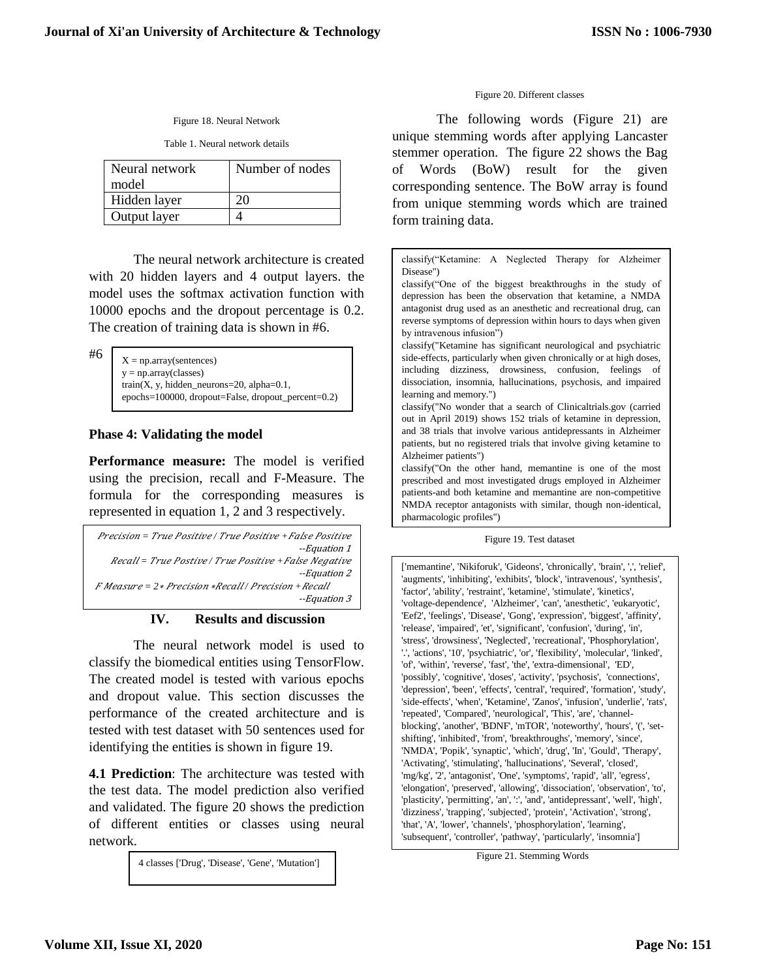#### Figure 18. Neural Network

Table 1. Neural network details

| Neural network | Number of nodes |  |
|----------------|-----------------|--|
| model          |                 |  |
| Hidden layer   |                 |  |
| Output layer   |                 |  |

The neural network architecture is created with 20 hidden layers and 4 output layers. the model uses the softmax activation function with 10000 epochs and the dropout percentage is 0.2. The creation of training data is shown in #6.

#6

 $X = np.array(sentences)$ y = np.array(classes) train(X, y, hidden\_neurons=20, alpha= $0.1$ , epochs=100000, dropout=False, dropout\_percent=0.2)

# **Phase 4: Validating the model**

**Performance measure:** The model is verified using the precision, recall and F-Measure. The formula for the corresponding measures is represented in equation 1, 2 and 3 respectively.

| Precision = True Positive / True Positive + False Positive |
|------------------------------------------------------------|
| --Equation 1                                               |
| Recall = True Postive / True Positive + False Negative     |
| --Equation 2                                               |
| $F$ Measure = $2*$ Precision $*Recall$ Precision + Recall  |
| --Equation 3                                               |

### **IV. Results and discussion**

The neural network model is used to classify the biomedical entities using TensorFlow. The created model is tested with various epochs and dropout value. This section discusses the performance of the created architecture and is tested with test dataset with 50 sentences used for identifying the entities is shown in figure 19.

**4.1 Prediction**: The architecture was tested with the test data. The model prediction also verified and validated. The figure 20 shows the prediction of different entities or classes using neural network.

4 classes ['Drug', 'Disease', 'Gene', 'Mutation']

#### Figure 20. Different classes

The following words (Figure 21) are unique stemming words after applying Lancaster stemmer operation. The figure 22 shows the Bag of Words (BoW) result for the given corresponding sentence. The BoW array is found from unique stemming words which are trained form training data.

classify("Ketamine: A Neglected Therapy for Alzheimer Disease") classify("One of the biggest breakthroughs in the study of depression has been the observation that ketamine, a NMDA antagonist drug used as an anesthetic and recreational drug, can reverse symptoms of depression within hours to days when given by intravenous infusion") classify("Ketamine has significant neurological and psychiatric side-effects, particularly when given chronically or at high doses, including dizziness, drowsiness, confusion, feelings of dissociation, insomnia, hallucinations, psychosis, and impaired learning and memory.") classify("No wonder that a search of Clinicaltrials.gov (carried out in April 2019) shows 152 trials of ketamine in depression, and 38 trials that involve various antidepressants in Alzheimer patients, but no registered trials that involve giving ketamine to Alzheimer patients") classify("On the other hand, memantine is one of the most prescribed and most investigated drugs employed in Alzheimer patients-and both ketamine and memantine are non-competitive NMDA receptor antagonists with similar, though non-identical, pharmacologic profiles")

Figure 19. Test dataset

['memantine', 'Nikiforuk', 'Gideons', 'chronically', 'brain', ',', 'relief', 'augments', 'inhibiting', 'exhibits', 'block', 'intravenous', 'synthesis', 'factor', 'ability', 'restraint', 'ketamine', 'stimulate', 'kinetics', 'voltage-dependence', 'Alzheimer', 'can', 'anesthetic', 'eukaryotic', 'Eef2', 'feelings', 'Disease', 'Gong', 'expression', 'biggest', 'affinity', 'release', 'impaired', 'et', 'significant', 'confusion', 'during', 'in', 'stress', 'drowsiness', 'Neglected', 'recreational', 'Phosphorylation', '.', 'actions', '10', 'psychiatric', 'or', 'flexibility', 'molecular', 'linked', 'of', 'within', 'reverse', 'fast', 'the', 'extra-dimensional', 'ED', 'possibly', 'cognitive', 'doses', 'activity', 'psychosis', 'connections', 'depression', 'been', 'effects', 'central', 'required', 'formation', 'study', 'side-effects', 'when', 'Ketamine', 'Zanos', 'infusion', 'underlie', 'rats', 'repeated', 'Compared', 'neurological', 'This', 'are', 'channelblocking', 'another', 'BDNF', 'mTOR', 'noteworthy', 'hours', '(', 'setshifting', 'inhibited', 'from', 'breakthroughs', 'memory', 'since', 'NMDA', 'Popik', 'synaptic', 'which', 'drug', 'In', 'Gould', 'Therapy', 'Activating', 'stimulating', 'hallucinations', 'Several', 'closed', 'mg/kg', '2', 'antagonist', 'One', 'symptoms', 'rapid', 'all', 'egress', 'elongation', 'preserved', 'allowing', 'dissociation', 'observation', 'to', 'plasticity', 'permitting', 'an', ':', 'and', 'antidepressant', 'well', 'high', 'dizziness', 'trapping', 'subjected', 'protein', 'Activation', 'strong', 'that', 'A', 'lower', 'channels', 'phosphorylation', 'learning', 'subsequent', 'controller', 'pathway', 'particularly', 'insomnia']

Figure 21. Stemming Words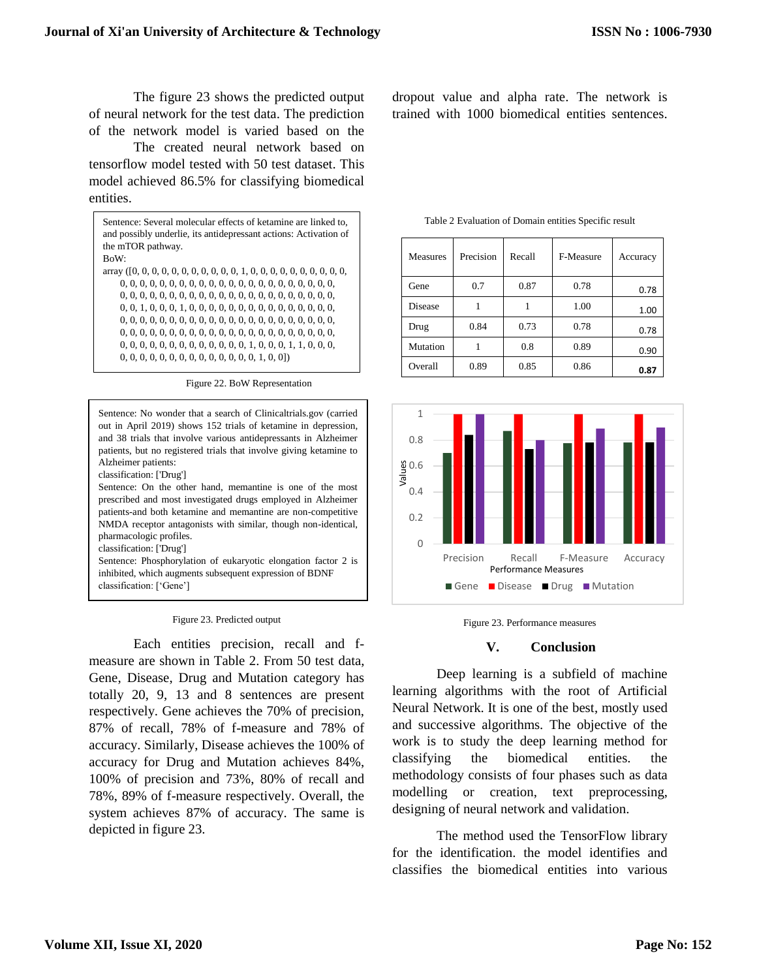The figure 23 shows the predicted output of neural network for the test data. The prediction of the network model is varied based on the

The created neural network based on tensorflow model tested with 50 test dataset. This model achieved 86.5% for classifying biomedical entities.

Sentence: Several molecular effects of ketamine are linked to, and possibly underlie, its antidepressant actions: Activation of the mTOR pathway. BoW: array ([0, 0, 0, 0, 0, 0, 0, 0, 0, 0, 0, 1, 0, 0, 0, 0, 0, 0, 0, 0, 0, 0, 0, 0, 0, 0, 0, 0, 0, 0, 0, 0, 0, 0, 0, 0, 0, 0, 0, 0, 0, 0, 0, 0, 0, 0, 0, 0, 0, 0, 0, 0, 0, 0, 0, 0, 0, 0, 0, 0, 0, 0, 0, 0, 0, 0, 0, 0, 1, 0, 0, 0, 1, 0, 0, 0, 0, 0, 0, 0, 0, 0, 0, 0, 0, 0, 0, 0, 0, 0, 0, 0, 0, 0, 0, 0, 0, 0, 0, 0, 0, 0, 0, 0, 0, 0, 0, 0, 0, 0, 0, 0, 0, 0, 0, 0, 0, 0, 0, 0, 0, 0, 0, 0, 0, 0, 0, 0, 0, 0, 0, 0, 0, 0, 0, 0, 0, 0, 0, 0, 0, 0, 0, 0, 0, 1, 0, 0, 0, 1, 1, 0, 0, 0, 0, 0, 0, 0, 0, 0, 0, 0, 0, 0, 0, 0, 0, 0, 1, 0, 0])

Figure 22. BoW Representation

Sentence: No wonder that a search of Clinicaltrials.gov (carried out in April 2019) shows 152 trials of ketamine in depression, and 38 trials that involve various antidepressants in Alzheimer patients, but no registered trials that involve giving ketamine to Alzheimer patients: classification: ['Drug'] Sentence: On the other hand, memantine is one of the most prescribed and most investigated drugs employed in Alzheimer patients-and both ketamine and memantine are non-competitive NMDA receptor antagonists with similar, though non-identical, pharmacologic profiles. classification: ['Drug'] Sentence: Phosphorylation of eukaryotic elongation factor 2 is inhibited, which augments subsequent expression of BDNF classification: ['Gene']

|  | Figure 23. Predicted output |  |
|--|-----------------------------|--|
|  |                             |  |

Each entities precision, recall and fmeasure are shown in Table 2. From 50 test data, Gene, Disease, Drug and Mutation category has totally 20, 9, 13 and 8 sentences are present respectively. Gene achieves the 70% of precision, 87% of recall, 78% of f-measure and 78% of accuracy. Similarly, Disease achieves the 100% of accuracy for Drug and Mutation achieves 84%, 100% of precision and 73%, 80% of recall and 78%, 89% of f-measure respectively. Overall, the system achieves 87% of accuracy. The same is depicted in figure 23.

dropout value and alpha rate. The network is trained with 1000 biomedical entities sentences.

| <b>Measures</b> | Precision | Recall | F-Measure | Accuracy |
|-----------------|-----------|--------|-----------|----------|
| Gene            | 0.7       | 0.87   | 0.78      | 0.78     |
| Disease         |           |        | 1.00      | 1.00     |
| Drug            | 0.84      | 0.73   | 0.78      | 0.78     |
| Mutation        |           | 0.8    | 0.89      | 0.90     |
| Overall         | 0.89      | 0.85   | 0.86      | 0.87     |

Table 2 Evaluation of Domain entities Specific result





### **V. Conclusion**

Deep learning is a subfield of machine learning algorithms with the root of Artificial Neural Network. It is one of the best, mostly used and successive algorithms. The objective of the work is to study the deep learning method for classifying the biomedical entities. the methodology consists of four phases such as data modelling or creation, text preprocessing, designing of neural network and validation.

The method used the TensorFlow library for the identification. the model identifies and classifies the biomedical entities into various